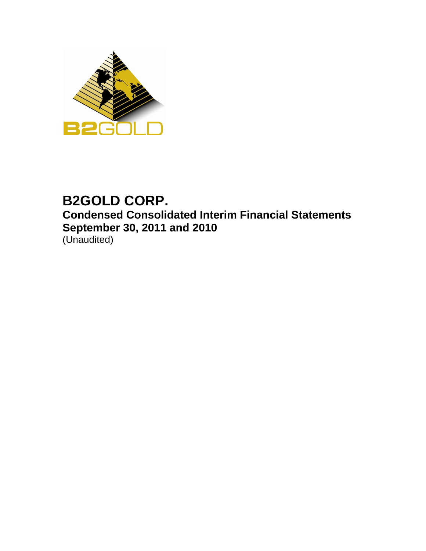

# **B2GOLD CORP. Condensed Consolidated Interim Financial Statements September 30, 2011 and 2010**  (Unaudited)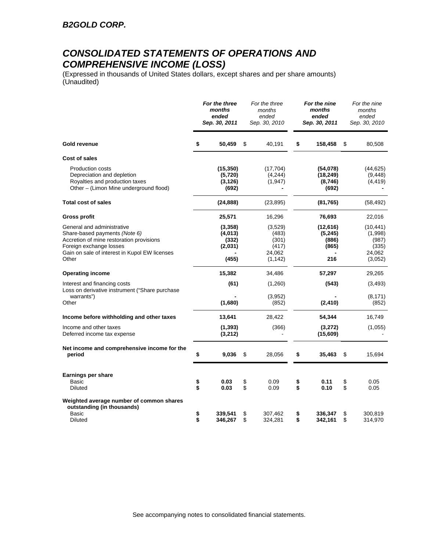## *CONSOLIDATED STATEMENTS OF OPERATIONS AND COMPREHENSIVE INCOME (LOSS)*

(Expressed in thousands of United States dollars, except shares and per share amounts) (Unaudited)

|                                                                                                                                                                                              |          | For the three<br>months<br>ended<br>Sep. 30, 2011 |          | For the three<br>months<br>ended<br>Sep. 30, 2010        |          | For the nine<br>months<br>ended<br>Sep. 30, 2011 |          | For the nine<br>months<br>ended<br>Sep. 30, 2010            |
|----------------------------------------------------------------------------------------------------------------------------------------------------------------------------------------------|----------|---------------------------------------------------|----------|----------------------------------------------------------|----------|--------------------------------------------------|----------|-------------------------------------------------------------|
| Gold revenue                                                                                                                                                                                 | \$       | 50,459                                            | \$       | 40,191                                                   | \$       | 158,458                                          | \$       | 80,508                                                      |
| <b>Cost of sales</b>                                                                                                                                                                         |          |                                                   |          |                                                          |          |                                                  |          |                                                             |
| <b>Production costs</b><br>Depreciation and depletion<br>Royalties and production taxes<br>Other – (Limon Mine underground flood)                                                            |          | (15, 350)<br>(5,720)<br>(3, 126)<br>(692)         |          | (17, 704)<br>(4,244)<br>(1, 947)                         |          | (54,078)<br>(18, 249)<br>(8,746)<br>(692)        |          | (44, 625)<br>(9, 448)<br>(4, 419)                           |
| <b>Total cost of sales</b>                                                                                                                                                                   |          | (24, 888)                                         |          | (23, 895)                                                |          | (81, 765)                                        |          | (58, 492)                                                   |
| <b>Gross profit</b>                                                                                                                                                                          |          | 25,571                                            |          | 16,296                                                   |          | 76,693                                           |          | 22,016                                                      |
| General and administrative<br>Share-based payments (Note 6)<br>Accretion of mine restoration provisions<br>Foreign exchange losses<br>Gain on sale of interest in Kupol EW licenses<br>Other |          | (3,358)<br>(4,013)<br>(332)<br>(2,031)<br>(455)   |          | (3,529)<br>(483)<br>(301)<br>(417)<br>24,062<br>(1, 142) |          | (12,616)<br>(5, 245)<br>(886)<br>(865)<br>216    |          | (10, 441)<br>(1,998)<br>(987)<br>(335)<br>24,062<br>(3,052) |
| <b>Operating income</b>                                                                                                                                                                      |          | 15,382                                            |          | 34,486                                                   |          | 57,297                                           |          | 29,265                                                      |
| Interest and financing costs                                                                                                                                                                 |          | (61)                                              |          | (1,260)                                                  |          | (543)                                            |          | (3, 493)                                                    |
| Loss on derivative instrument ("Share purchase<br>warrants")<br>Other                                                                                                                        |          | (1,680)                                           |          | (3,952)<br>(852)                                         |          | (2, 410)                                         |          | (8, 171)<br>(852)                                           |
| Income before withholding and other taxes                                                                                                                                                    |          | 13,641                                            |          | 28,422                                                   |          | 54,344                                           |          | 16,749                                                      |
| Income and other taxes<br>Deferred income tax expense                                                                                                                                        |          | (1, 393)<br>(3, 212)                              |          | (366)                                                    |          | (3,272)<br>(15,609)                              |          | (1,055)                                                     |
| Net income and comprehensive income for the<br>period                                                                                                                                        | \$       | 9,036                                             | \$       | 28,056                                                   | \$       | 35,463                                           | \$       | 15,694                                                      |
| Earnings per share<br>Basic                                                                                                                                                                  | \$       | 0.03                                              | \$       | 0.09                                                     | \$       | 0.11                                             | \$       | 0.05                                                        |
| Diluted                                                                                                                                                                                      | \$       | 0.03                                              | \$       | 0.09                                                     | \$       | 0.10                                             | \$       | 0.05                                                        |
| Weighted average number of common shares<br>outstanding (in thousands)<br><b>Basic</b><br><b>Diluted</b>                                                                                     | \$<br>\$ | 339,541<br>346,267                                | \$<br>\$ | 307,462<br>324,281                                       | \$<br>\$ | 336,347<br>342,161                               | \$<br>\$ | 300,819<br>314,970                                          |

See accompanying notes to consolidated financial statements.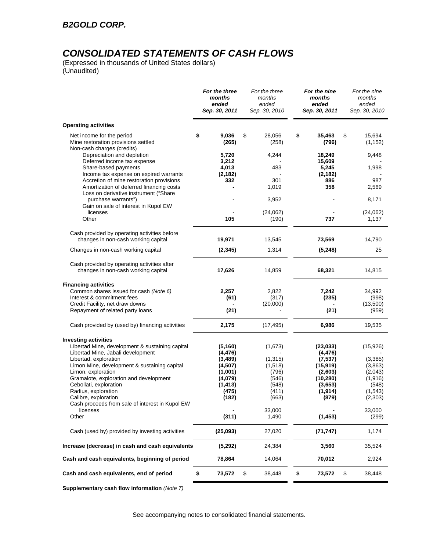# *CONSOLIDATED STATEMENTS OF CASH FLOWS*

(Expressed in thousands of United States dollars) (Unaudited)

|                                                                                                                               | For the three<br>months<br>ended<br>Sep. 30, 2011 | For the three<br>months<br>ended<br>Sep. 30, 2010 | For the nine<br>months<br>ended<br>Sep. 30, 2011 | For the nine<br>months<br>ended<br>Sep. 30, 2010 |
|-------------------------------------------------------------------------------------------------------------------------------|---------------------------------------------------|---------------------------------------------------|--------------------------------------------------|--------------------------------------------------|
| <b>Operating activities</b>                                                                                                   |                                                   |                                                   |                                                  |                                                  |
| Net income for the period<br>Mine restoration provisions settled<br>Non-cash charges (credits)                                | \$<br>9,036<br>(265)                              | \$<br>28,056<br>(258)                             | \$<br>35,463<br>(796)                            | \$<br>15,694<br>(1, 152)                         |
| Depreciation and depletion<br>Deferred income tax expense                                                                     | 5,720<br>3,212                                    | 4,244                                             | 18,249<br>15,609                                 | 9,448                                            |
| Share-based payments<br>Income tax expense on expired warrants                                                                | 4,013<br>(2, 182)                                 | 483                                               | 5,245<br>(2, 182)                                | 1,998                                            |
| Accretion of mine restoration provisions<br>Amortization of deferred financing costs<br>Loss on derivative instrument ("Share | 332                                               | 301<br>1,019                                      | 886<br>358                                       | 987<br>2,569                                     |
| purchase warrants")<br>Gain on sale of interest in Kupol EW                                                                   |                                                   | 3,952                                             |                                                  | 8,171                                            |
| licenses<br>Other                                                                                                             | 105                                               | (24,062)<br>(190)                                 | 737                                              | (24,062)<br>1,137                                |
| Cash provided by operating activities before<br>changes in non-cash working capital                                           | 19,971                                            | 13,545                                            | 73,569                                           | 14,790                                           |
| Changes in non-cash working capital                                                                                           | (2, 345)                                          | 1,314                                             | (5, 248)                                         | 25                                               |
| Cash provided by operating activities after<br>changes in non-cash working capital                                            | 17,626                                            | 14,859                                            | 68,321                                           | 14,815                                           |
| <b>Financing activities</b>                                                                                                   |                                                   |                                                   |                                                  |                                                  |
| Common shares issued for cash (Note 6)<br>Interest & commitment fees                                                          | 2,257<br>(61)                                     | 2,822<br>(317)                                    | 7,242<br>(235)                                   | 34,992<br>(998)                                  |
| Credit Facility, net draw downs                                                                                               |                                                   | (20,000)                                          |                                                  | (13,500)                                         |
| Repayment of related party loans                                                                                              | (21)                                              |                                                   | (21)                                             | (959)                                            |
| Cash provided by (used by) financing activities                                                                               | 2,175                                             | (17, 495)                                         | 6,986                                            | 19,535                                           |
| <b>Investing activities</b>                                                                                                   |                                                   |                                                   |                                                  |                                                  |
| Libertad Mine, development & sustaining capital<br>Libertad Mine, Jabali development                                          | (5, 160)<br>(4, 476)                              | (1,673)                                           | (23, 033)<br>(4, 476)                            | (15, 926)                                        |
| Libertad, exploration<br>Limon Mine, development & sustaining capital                                                         | (3,489)<br>(4,507)                                | (1, 315)                                          | (7, 537)                                         | (3,385)                                          |
| Limon, exploration                                                                                                            | (1,001)                                           | (1,518)<br>(796)                                  | (15, 919)<br>(2,603)                             | (3,863)<br>(2,043)                               |
| Gramalote, exploration and development                                                                                        | (4,079)                                           | (546)                                             | (10, 280)                                        | (1,916)                                          |
| Cebollati, exploration                                                                                                        | (1, 413)                                          | (548)                                             | (3,653)                                          | (548)                                            |
| Radius, exploration<br>Calibre, exploration                                                                                   | (475)<br>(182)                                    | (411)<br>(663)                                    | (1, 914)<br>(879)                                | (1, 543)<br>(2, 303)                             |
| Cash proceeds from sale of interest in Kupol EW<br>licenses                                                                   |                                                   | 33,000                                            |                                                  | 33,000                                           |
| Other                                                                                                                         | (311)                                             | 1,490                                             | (1, 453)                                         | (299)                                            |
| Cash (used by) provided by investing activities                                                                               | (25,093)                                          | 27,020                                            | (71, 747)                                        | 1,174                                            |
| Increase (decrease) in cash and cash equivalents                                                                              | (5,292)                                           | 24,384                                            | 3,560                                            | 35,524                                           |
| Cash and cash equivalents, beginning of period                                                                                | 78,864                                            | 14,064                                            | 70,012                                           | 2,924                                            |
| Cash and cash equivalents, end of period                                                                                      | \$<br>73,572                                      | \$<br>38,448                                      | \$<br>73,572                                     | \$<br>38,448                                     |
| Supplementary cash flow information (Note 7)                                                                                  |                                                   |                                                   |                                                  |                                                  |

See accompanying notes to consolidated financial statements.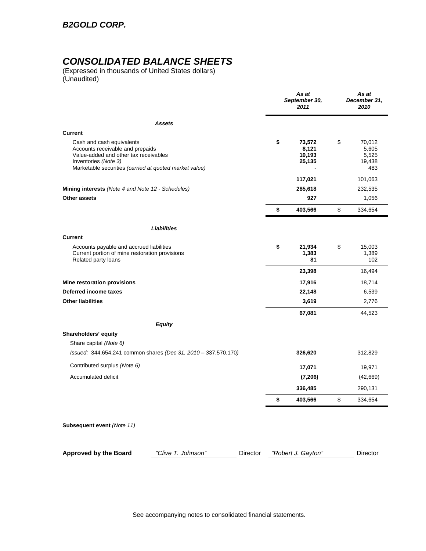## *CONSOLIDATED BALANCE SHEETS*

(Expressed in thousands of United States dollars) (Unaudited)

|                                                                                                                                                                                          |                                                                |          | As at<br>September 30,<br>2011            | As at<br>December 31,<br>2010                   |
|------------------------------------------------------------------------------------------------------------------------------------------------------------------------------------------|----------------------------------------------------------------|----------|-------------------------------------------|-------------------------------------------------|
|                                                                                                                                                                                          | <b>Assets</b>                                                  |          |                                           |                                                 |
| <b>Current</b>                                                                                                                                                                           |                                                                |          |                                           |                                                 |
| Cash and cash equivalents<br>Accounts receivable and prepaids<br>Value-added and other tax receivables<br>Inventories (Note 3)<br>Marketable securities (carried at quoted market value) |                                                                |          | \$<br>73,572<br>8,121<br>10,193<br>25,135 | \$<br>70,012<br>5,605<br>5,525<br>19,438<br>483 |
|                                                                                                                                                                                          |                                                                |          | 117,021                                   | 101,063                                         |
| Mining interests (Note 4 and Note 12 - Schedules)                                                                                                                                        |                                                                |          | 285,618                                   | 232,535                                         |
| Other assets                                                                                                                                                                             |                                                                |          | 927                                       | 1,056                                           |
|                                                                                                                                                                                          |                                                                |          | \$<br>403,566                             | \$<br>334,654                                   |
|                                                                                                                                                                                          | Liabilities                                                    |          |                                           |                                                 |
| <b>Current</b>                                                                                                                                                                           |                                                                |          |                                           |                                                 |
| Accounts payable and accrued liabilities<br>Current portion of mine restoration provisions<br>Related party loans                                                                        |                                                                |          | \$<br>21,934<br>1,383<br>81               | \$<br>15,003<br>1,389<br>102                    |
|                                                                                                                                                                                          |                                                                |          | 23,398                                    | 16,494                                          |
| Mine restoration provisions                                                                                                                                                              |                                                                |          | 17,916                                    | 18,714                                          |
| Deferred income taxes                                                                                                                                                                    |                                                                |          | 22,148                                    | 6,539                                           |
| <b>Other liabilities</b>                                                                                                                                                                 |                                                                |          | 3,619                                     | 2,776                                           |
|                                                                                                                                                                                          |                                                                |          | 67,081                                    | 44,523                                          |
|                                                                                                                                                                                          | <b>Equity</b>                                                  |          |                                           |                                                 |
| Shareholders' equity<br>Share capital (Note 6)                                                                                                                                           |                                                                |          |                                           |                                                 |
|                                                                                                                                                                                          | Issued: 344,654,241 common shares (Dec 31, 2010 - 337,570,170) |          | 326,620                                   | 312,829                                         |
| Contributed surplus (Note 6)                                                                                                                                                             |                                                                |          | 17,071                                    | 19,971                                          |
| Accumulated deficit                                                                                                                                                                      |                                                                |          | (7, 206)                                  | (42, 669)                                       |
|                                                                                                                                                                                          |                                                                |          | 336,485                                   | 290,131                                         |
|                                                                                                                                                                                          |                                                                |          | \$<br>403,566                             | \$<br>334,654                                   |
| Subsequent event (Note 11)                                                                                                                                                               |                                                                |          |                                           |                                                 |
| <b>Approved by the Board</b>                                                                                                                                                             | "Clive T. Johnson"                                             | Director | "Robert J. Gayton"                        | Director                                        |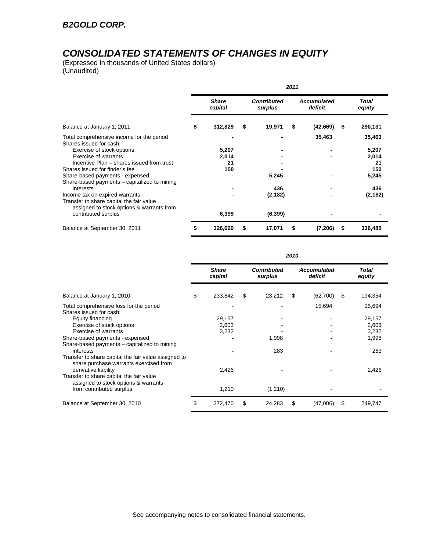# *CONSOLIDATED STATEMENTS OF CHANGES IN EQUITY*

(Expressed in thousands of United States dollars) (Unaudited)

|                                                                      | 2011 |                         |    |                               |    |                               |    |                        |
|----------------------------------------------------------------------|------|-------------------------|----|-------------------------------|----|-------------------------------|----|------------------------|
|                                                                      |      | <b>Share</b><br>capital |    | <b>Contributed</b><br>surplus |    | <b>Accumulated</b><br>deficit |    | <b>Total</b><br>equity |
| Balance at January 1, 2011                                           | \$   | 312,829                 | \$ | 19,971                        | \$ | (42, 669)                     | \$ | 290,131                |
| Total comprehensive income for the period<br>Shares issued for cash: |      |                         |    |                               |    | 35,463                        |    | 35,463                 |
| Exercise of stock options                                            |      | 5,207                   |    |                               |    |                               |    | 5,207                  |
| Exercise of warrants                                                 |      | 2,014                   |    |                               |    |                               |    | 2,014                  |
| Incentive Plan – shares issued from trust                            |      | 21                      |    |                               |    |                               |    | 21                     |
| Shares issued for finder's fee                                       |      | 150                     |    |                               |    |                               |    | 150                    |
| Share-based payments - expensed                                      |      |                         |    | 5,245                         |    |                               |    | 5,245                  |
| Share-based payments – capitalized to mining                         |      |                         |    |                               |    |                               |    |                        |
| interests                                                            |      |                         |    | 436                           |    |                               |    | 436                    |
| Income tax on expired warrants                                       |      |                         |    | (2, 182)                      |    |                               |    | (2, 182)               |
| Transfer to share capital the fair value                             |      |                         |    |                               |    |                               |    |                        |
| assigned to stock options & warrants from<br>contributed surplus     |      | 6,399                   |    | (6, 399)                      |    |                               |    |                        |
| Balance at September 30, 2011                                        | \$   | 326,620                 | \$ | 17,071                        | \$ | (7,206)                       | \$ | 336,485                |

|                                                                                                              | 2010 |                         |    |                               |    |                               |    |                        |
|--------------------------------------------------------------------------------------------------------------|------|-------------------------|----|-------------------------------|----|-------------------------------|----|------------------------|
|                                                                                                              |      | <b>Share</b><br>capital |    | <b>Contributed</b><br>surplus |    | <b>Accumulated</b><br>deficit |    | <b>Total</b><br>equity |
| Balance at January 1, 2010                                                                                   | \$   | 233,842                 | \$ | 23,212                        | \$ | (62,700)                      | \$ | 194,354                |
| Total comprehensive loss for the period<br>Shares issued for cash:                                           |      |                         |    |                               |    | 15,694                        |    | 15,694                 |
| Equity financing                                                                                             |      | 29,157                  |    |                               |    |                               |    | 29,157                 |
| Exercise of stock options                                                                                    |      | 2,603                   |    |                               |    |                               |    | 2,603                  |
| <b>Exercise of warrants</b>                                                                                  |      | 3,232                   |    |                               |    |                               |    | 3,232                  |
| Share-based payments - expensed<br>Share-based payments – capitalized to mining                              |      |                         |    | 1,998                         |    |                               |    | 1,998                  |
| interests<br>Transfer to share capital the fair value assigned to                                            |      |                         |    | 283                           |    |                               |    | 283                    |
| share purchase warrants exercised from<br>derivative liability                                               |      | 2,426                   |    |                               |    |                               |    | 2,426                  |
| Transfer to share capital the fair value<br>assigned to stock options & warrants<br>from contributed surplus |      | 1,210                   |    | (1,210)                       |    |                               |    |                        |
|                                                                                                              |      |                         |    |                               |    |                               |    |                        |
| Balance at September 30, 2010                                                                                | \$   | 272,470                 | \$ | 24,283                        | \$ | (47,006)                      | \$ | 249,747                |

See accompanying notes to consolidated financial statements.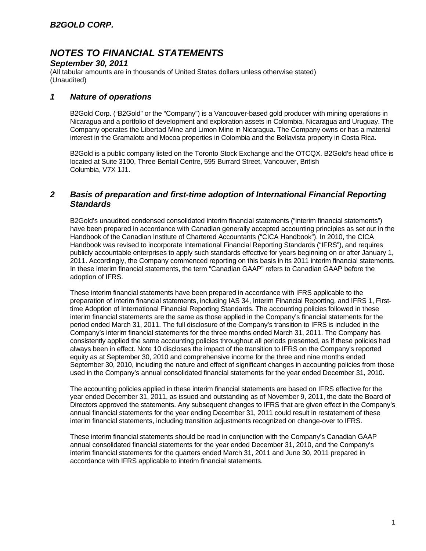### *September 30, 2011*

(All tabular amounts are in thousands of United States dollars unless otherwise stated) (Unaudited)

### *1 Nature of operations*

B2Gold Corp. ("B2Gold" or the "Company") is a Vancouver-based gold producer with mining operations in Nicaragua and a portfolio of development and exploration assets in Colombia, Nicaragua and Uruguay. The Company operates the Libertad Mine and Limon Mine in Nicaragua. The Company owns or has a material interest in the Gramalote and Mocoa properties in Colombia and the Bellavista property in Costa Rica.

B2Gold is a public company listed on the Toronto Stock Exchange and the OTCQX. B2Gold's head office is located at Suite 3100, Three Bentall Centre, 595 Burrard Street, Vancouver, British Columbia, V7X 1J1.

### *2 Basis of preparation and first-time adoption of International Financial Reporting Standards*

B2Gold's unaudited condensed consolidated interim financial statements ("interim financial statements") have been prepared in accordance with Canadian generally accepted accounting principles as set out in the Handbook of the Canadian Institute of Chartered Accountants ("CICA Handbook"). In 2010, the CICA Handbook was revised to incorporate International Financial Reporting Standards ("IFRS"), and requires publicly accountable enterprises to apply such standards effective for years beginning on or after January 1, 2011. Accordingly, the Company commenced reporting on this basis in its 2011 interim financial statements. In these interim financial statements, the term "Canadian GAAP" refers to Canadian GAAP before the adoption of IFRS.

These interim financial statements have been prepared in accordance with IFRS applicable to the preparation of interim financial statements, including IAS 34, Interim Financial Reporting, and IFRS 1, Firsttime Adoption of International Financial Reporting Standards. The accounting policies followed in these interim financial statements are the same as those applied in the Company's financial statements for the period ended March 31, 2011. The full disclosure of the Company's transition to IFRS is included in the Company's interim financial statements for the three months ended March 31, 2011. The Company has consistently applied the same accounting policies throughout all periods presented, as if these policies had always been in effect. Note 10 discloses the impact of the transition to IFRS on the Company's reported equity as at September 30, 2010 and comprehensive income for the three and nine months ended September 30, 2010, including the nature and effect of significant changes in accounting policies from those used in the Company's annual consolidated financial statements for the year ended December 31, 2010.

The accounting policies applied in these interim financial statements are based on IFRS effective for the year ended December 31, 2011, as issued and outstanding as of November 9, 2011, the date the Board of Directors approved the statements. Any subsequent changes to IFRS that are given effect in the Company's annual financial statements for the year ending December 31, 2011 could result in restatement of these interim financial statements, including transition adjustments recognized on change-over to IFRS.

These interim financial statements should be read in conjunction with the Company's Canadian GAAP annual consolidated financial statements for the year ended December 31, 2010, and the Company's interim financial statements for the quarters ended March 31, 2011 and June 30, 2011 prepared in accordance with IFRS applicable to interim financial statements.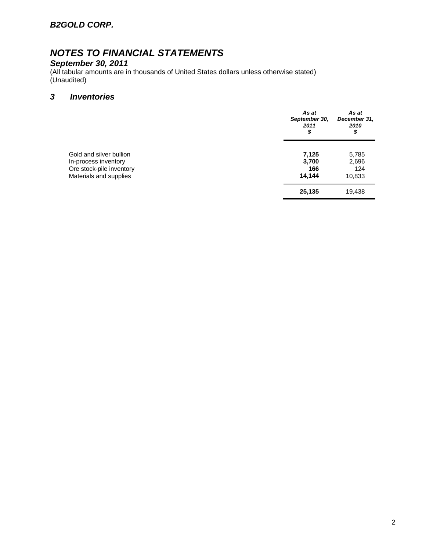### *B2GOLD CORP.*

# *NOTES TO FINANCIAL STATEMENTS*

#### *September 30, 2011*

(All tabular amounts are in thousands of United States dollars unless otherwise stated) (Unaudited)

### *3 Inventories*

|                                                                                                       | As at<br>September 30,<br>2011<br>\$ | As at<br>December 31,<br>2010<br>\$ |
|-------------------------------------------------------------------------------------------------------|--------------------------------------|-------------------------------------|
| Gold and silver bullion<br>In-process inventory<br>Ore stock-pile inventory<br>Materials and supplies | 7,125<br>3,700<br>166<br>14,144      | 5,785<br>2,696<br>124<br>10,833     |
|                                                                                                       | 25,135                               | 19,438                              |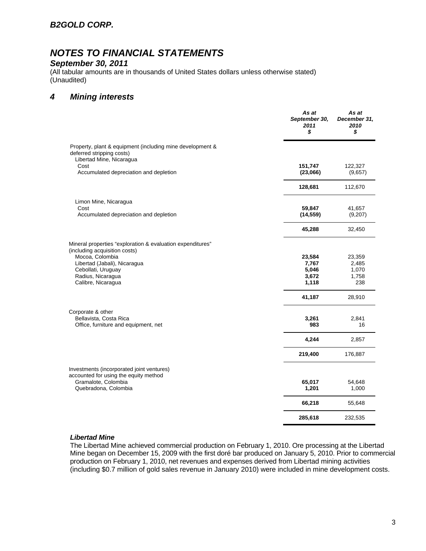### *B2GOLD CORP.*

# *NOTES TO FINANCIAL STATEMENTS*

#### *September 30, 2011*

(All tabular amounts are in thousands of United States dollars unless otherwise stated) (Unaudited)

### *4 Mining interests*

|                                                                                                                    | As at<br>September 30,<br>2011<br>\$ | As at<br>December 31,<br>2010<br>\$ |
|--------------------------------------------------------------------------------------------------------------------|--------------------------------------|-------------------------------------|
| Property, plant & equipment (including mine development &<br>deferred stripping costs)<br>Libertad Mine, Nicaragua |                                      |                                     |
| Cost<br>Accumulated depreciation and depletion                                                                     | 151,747<br>(23,066)                  | 122,327<br>(9,657)                  |
|                                                                                                                    | 128,681                              | 112,670                             |
| Limon Mine, Nicaragua                                                                                              |                                      |                                     |
| Cost<br>Accumulated depreciation and depletion                                                                     | 59,847<br>(14, 559)                  | 41,657<br>(9,207)                   |
|                                                                                                                    | 45,288                               | 32,450                              |
| Mineral properties "exploration & evaluation expenditures"<br>(including acquisition costs)                        |                                      |                                     |
| Mocoa, Colombia                                                                                                    | 23,584                               | 23,359                              |
| Libertad (Jabali), Nicaragua                                                                                       | 7,767                                | 2,485                               |
| Cebollati, Uruguay                                                                                                 | 5,046<br>3,672                       | 1,070<br>1,758                      |
| Radius, Nicaragua<br>Calibre, Nicaragua                                                                            | 1,118                                | 238                                 |
|                                                                                                                    | 41,187                               | 28,910                              |
| Corporate & other<br>Bellavista, Costa Rica                                                                        | 3,261                                | 2,841                               |
| Office, furniture and equipment, net                                                                               | 983                                  | 16                                  |
|                                                                                                                    | 4,244                                | 2,857                               |
|                                                                                                                    | 219,400                              | 176,887                             |
| Investments (incorporated joint ventures)<br>accounted for using the equity method                                 |                                      |                                     |
| Gramalote, Colombia                                                                                                | 65,017                               | 54,648                              |
| Quebradona, Colombia                                                                                               | 1,201                                | 1,000                               |
|                                                                                                                    | 66,218                               | 55,648                              |
|                                                                                                                    | 285,618                              | 232,535                             |

#### *Libertad Mine*

The Libertad Mine achieved commercial production on February 1, 2010. Ore processing at the Libertad Mine began on December 15, 2009 with the first doré bar produced on January 5, 2010. Prior to commercial production on February 1, 2010, net revenues and expenses derived from Libertad mining activities (including \$0.7 million of gold sales revenue in January 2010) were included in mine development costs.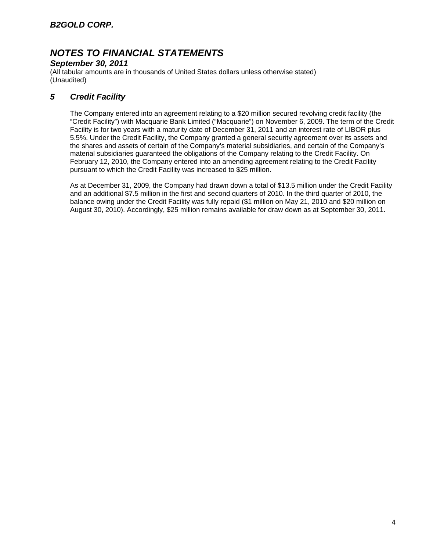### *September 30, 2011*

(All tabular amounts are in thousands of United States dollars unless otherwise stated) (Unaudited)

### *5 Credit Facility*

The Company entered into an agreement relating to a \$20 million secured revolving credit facility (the "Credit Facility") with Macquarie Bank Limited ("Macquarie") on November 6, 2009. The term of the Credit Facility is for two years with a maturity date of December 31, 2011 and an interest rate of LIBOR plus 5.5%. Under the Credit Facility, the Company granted a general security agreement over its assets and the shares and assets of certain of the Company's material subsidiaries, and certain of the Company's material subsidiaries guaranteed the obligations of the Company relating to the Credit Facility. On February 12, 2010, the Company entered into an amending agreement relating to the Credit Facility pursuant to which the Credit Facility was increased to \$25 million.

As at December 31, 2009, the Company had drawn down a total of \$13.5 million under the Credit Facility and an additional \$7.5 million in the first and second quarters of 2010. In the third quarter of 2010, the balance owing under the Credit Facility was fully repaid (\$1 million on May 21, 2010 and \$20 million on August 30, 2010). Accordingly, \$25 million remains available for draw down as at September 30, 2011.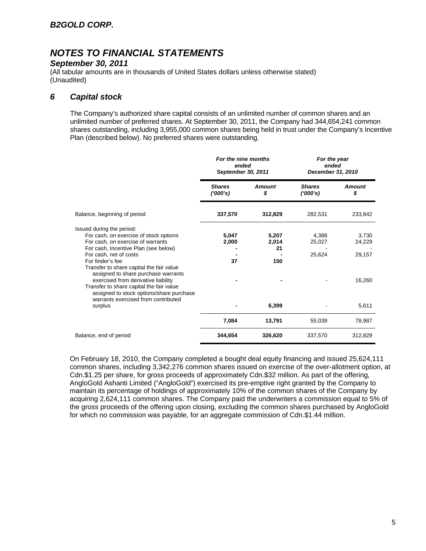### *September 30, 2011*

(All tabular amounts are in thousands of United States dollars unless otherwise stated) (Unaudited)

### *6 Capital stock*

The Company's authorized share capital consists of an unlimited number of common shares and an unlimited number of preferred shares. At September 30, 2011, the Company had 344,654,241 common shares outstanding, including 3,955,000 common shares being held in trust under the Company's Incentive Plan (described below). No preferred shares were outstanding.

|                                                                                                                                                                    | For the nine months<br>ended<br>September 30, 2011 |                      | For the year<br>ended<br>December 31, 2010 |                 |
|--------------------------------------------------------------------------------------------------------------------------------------------------------------------|----------------------------------------------------|----------------------|--------------------------------------------|-----------------|
|                                                                                                                                                                    | <b>Shares</b><br>(1000's)                          | Amount<br>\$         | <b>Shares</b><br>(1000's)                  | Amount<br>\$    |
| Balance, beginning of period                                                                                                                                       | 337,570                                            | 312,829              | 282,531                                    | 233,842         |
| Issued during the period:<br>For cash, on exercise of stock options<br>For cash, on exercise of warrants<br>For cash, Incentive Plan (see below)                   | 5,047<br>2,000                                     | 5,207<br>2,014<br>21 | 4,388<br>25,027                            | 3,730<br>24,229 |
| For cash, net of costs<br>For finder's fee<br>Transfer to share capital the fair value<br>assigned to share purchase warrants                                      | 37                                                 | 150                  | 25,624                                     | 29,157          |
| exercised from derivative liability<br>Transfer to share capital the fair value<br>assigned to stock options/share purchase<br>warrants exercised from contributed |                                                    |                      |                                            | 16,260          |
| surplus                                                                                                                                                            |                                                    | 6,399                |                                            | 5,611           |
|                                                                                                                                                                    | 7,084                                              | 13,791               | 55,039                                     | 78,987          |
| Balance, end of period                                                                                                                                             | 344,654                                            | 326,620              | 337,570                                    | 312,829         |

On February 18, 2010, the Company completed a bought deal equity financing and issued 25,624,111 common shares, including 3,342,276 common shares issued on exercise of the over-allotment option, at Cdn.\$1.25 per share, for gross proceeds of approximately Cdn.\$32 million. As part of the offering, AngloGold Ashanti Limited ("AngloGold") exercised its pre-emptive right granted by the Company to maintain its percentage of holdings of approximately 10% of the common shares of the Company by acquiring 2,624,111 common shares. The Company paid the underwriters a commission equal to 5% of the gross proceeds of the offering upon closing, excluding the common shares purchased by AngloGold for which no commission was payable, for an aggregate commission of Cdn.\$1.44 million.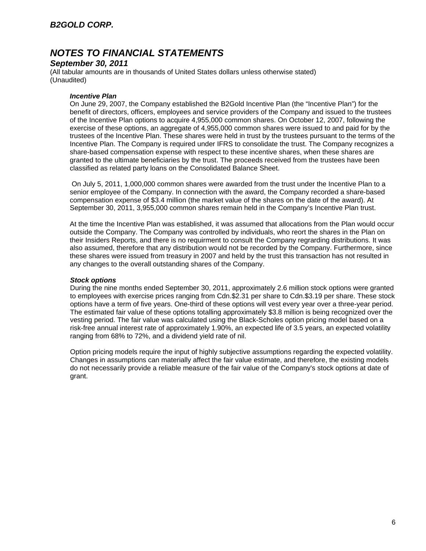### *September 30, 2011*

(All tabular amounts are in thousands of United States dollars unless otherwise stated) (Unaudited)

#### *Incentive Plan*

On June 29, 2007, the Company established the B2Gold Incentive Plan (the "Incentive Plan") for the benefit of directors, officers, employees and service providers of the Company and issued to the trustees of the Incentive Plan options to acquire 4,955,000 common shares. On October 12, 2007, following the exercise of these options, an aggregate of 4,955,000 common shares were issued to and paid for by the trustees of the Incentive Plan. These shares were held in trust by the trustees pursuant to the terms of the Incentive Plan. The Company is required under IFRS to consolidate the trust. The Company recognizes a share-based compensation expense with respect to these incentive shares, when these shares are granted to the ultimate beneficiaries by the trust. The proceeds received from the trustees have been classified as related party loans on the Consolidated Balance Sheet.

 On July 5, 2011, 1,000,000 common shares were awarded from the trust under the Incentive Plan to a senior employee of the Company. In connection with the award, the Company recorded a share-based compensation expense of \$3.4 million (the market value of the shares on the date of the award). At September 30, 2011, 3,955,000 common shares remain held in the Company's Incentive Plan trust.

At the time the Incentive Plan was established, it was assumed that allocations from the Plan would occur outside the Company. The Company was controlled by individuals, who reort the shares in the Plan on their Insiders Reports, and there is no requirment to consult the Company regrarding distributions. It was also assumed, therefore that any distribution would not be recorded by the Company. Furthermore, since these shares were issued from treasury in 2007 and held by the trust this transaction has not resulted in any changes to the overall outstanding shares of the Company.

#### *Stock options*

During the nine months ended September 30, 2011, approximately 2.6 million stock options were granted to employees with exercise prices ranging from Cdn.\$2.31 per share to Cdn.\$3.19 per share. These stock options have a term of five years. One-third of these options will vest every year over a three-year period. The estimated fair value of these options totalling approximately \$3.8 million is being recognized over the vesting period. The fair value was calculated using the Black-Scholes option pricing model based on a risk-free annual interest rate of approximately 1.90%, an expected life of 3.5 years, an expected volatility ranging from 68% to 72%, and a dividend yield rate of nil.

Option pricing models require the input of highly subjective assumptions regarding the expected volatility. Changes in assumptions can materially affect the fair value estimate, and therefore, the existing models do not necessarily provide a reliable measure of the fair value of the Company's stock options at date of grant.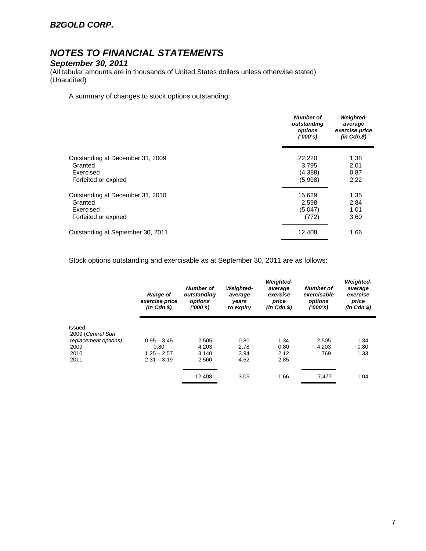### *B2GOLD CORP.*

# *NOTES TO FINANCIAL STATEMENTS*

#### *September 30, 2011*

(All tabular amounts are in thousands of United States dollars unless otherwise stated) (Unaudited)

A summary of changes to stock options outstanding:

|                                   | <b>Number of</b><br>outstanding<br>options<br>('000's) | <b>Weighted-</b><br>average<br>exercise price<br>$(in$ $Cdn.S)$ |
|-----------------------------------|--------------------------------------------------------|-----------------------------------------------------------------|
| Outstanding at December 31, 2009  | 22,220                                                 | 1.38                                                            |
| Granted                           | 3.795                                                  | 2.01                                                            |
| Exercised                         | (4,388)                                                | 0.87                                                            |
| Forfeited or expired              | (5,998)                                                | 2.22                                                            |
| Outstanding at December 31, 2010  | 15,629                                                 | 1.35                                                            |
| Granted                           | 2,598                                                  | 2.84                                                            |
| Exercised                         | (5,047)                                                | 1.01                                                            |
| Forfeited or expired              | (772)                                                  | 3.60                                                            |
| Outstanding at September 30, 2011 | 12,408                                                 | 1.66                                                            |

Stock options outstanding and exercisable as at September 30, 2011 are as follows:

|                              | <b>Range of</b><br>exercise price<br>$(in$ $Cdn.S)$ | <b>Number of</b><br>outstanding<br>options<br>(1000's) | <b>Weighted-</b><br>average<br>years<br>to expiry | <b>Weighted-</b><br>average<br>exercise<br>price<br>$(in$ $Cdn.S)$ | <b>Number of</b><br>exercisable<br>options<br>(1000's) | <b>Weighted-</b><br>average<br>exercise<br>price<br>$(in$ $Cdn.S)$ |
|------------------------------|-----------------------------------------------------|--------------------------------------------------------|---------------------------------------------------|--------------------------------------------------------------------|--------------------------------------------------------|--------------------------------------------------------------------|
| Issued:<br>2009 (Central Sun |                                                     |                                                        |                                                   |                                                                    |                                                        |                                                                    |
| replacement options)         | $0.95 - 3.45$                                       | 2,505                                                  | 0.80                                              | 1.34                                                               | 2,505                                                  | 1.34                                                               |
| 2009                         | 0.80                                                | 4.203                                                  | 2.78                                              | 0.80                                                               | 4.203                                                  | 0.80                                                               |
| 2010                         | $1.25 - 2.57$                                       | 3,140                                                  | 3.94                                              | 2.12                                                               | 769                                                    | 1.33                                                               |
| 2011                         | $2.31 - 3.19$                                       | 2,560                                                  | 4.62                                              | 2.85                                                               | $\overline{\phantom{a}}$                               |                                                                    |
|                              |                                                     | 12,408                                                 | 3.05                                              | 1.66                                                               | 7,477                                                  | 1.04                                                               |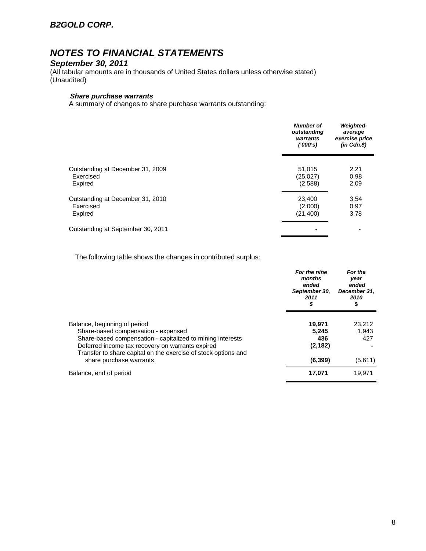### *B2GOLD CORP.*

# *NOTES TO FINANCIAL STATEMENTS*

#### *September 30, 2011*

(All tabular amounts are in thousands of United States dollars unless otherwise stated) (Unaudited)

### *Share purchase warrants*

A summary of changes to share purchase warrants outstanding:

|                                   | <b>Number of</b><br>outstanding<br>warrants<br>(1000's) | <b>Weighted-</b><br>average<br>exercise price<br>$(in$ $Cdn.S)$ |
|-----------------------------------|---------------------------------------------------------|-----------------------------------------------------------------|
| Outstanding at December 31, 2009  | 51,015                                                  | 2.21                                                            |
| Exercised                         | (25,027)                                                | 0.98                                                            |
| Expired                           | (2,588)                                                 | 2.09                                                            |
| Outstanding at December 31, 2010  | 23,400                                                  | 3.54                                                            |
| Exercised                         | (2,000)                                                 | 0.97                                                            |
| Expired                           | (21, 400)                                               | 3.78                                                            |
| Outstanding at September 30, 2011 |                                                         |                                                                 |

The following table shows the changes in contributed surplus:

|                                                                                                                                                                                  | For the nine<br>months<br>ended<br>September 30,<br>2011<br>\$ | For the<br>year<br>ended<br>December 31,<br>2010<br>\$ |
|----------------------------------------------------------------------------------------------------------------------------------------------------------------------------------|----------------------------------------------------------------|--------------------------------------------------------|
| Balance, beginning of period<br>Share-based compensation - expensed                                                                                                              | 19,971<br>5.245                                                | 23,212<br>1.943                                        |
| Share-based compensation - capitalized to mining interests<br>Deferred income tax recovery on warrants expired<br>Transfer to share capital on the exercise of stock options and | 436<br>(2, 182)                                                | 427                                                    |
| share purchase warrants                                                                                                                                                          | (6, 399)                                                       | (5,611)                                                |
| Balance, end of period                                                                                                                                                           | 17,071                                                         | 19,971                                                 |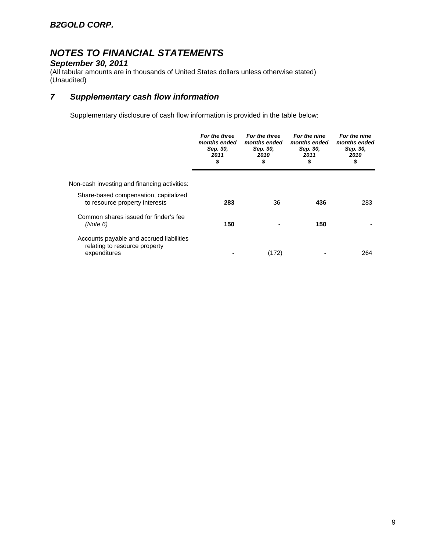#### *September 30, 2011*

(All tabular amounts are in thousands of United States dollars unless otherwise stated) (Unaudited)

### *7 Supplementary cash flow information*

Supplementary disclosure of cash flow information is provided in the table below:

|                                                                                           | For the three<br>months ended<br>Sep. 30,<br>2011<br>\$ | For the three<br>months ended<br>Sep. 30,<br>2010<br>S | For the nine<br>months ended<br>Sep. 30,<br>2011<br>\$ | For the nine<br>months ended<br>Sep. 30,<br>2010<br>\$ |
|-------------------------------------------------------------------------------------------|---------------------------------------------------------|--------------------------------------------------------|--------------------------------------------------------|--------------------------------------------------------|
| Non-cash investing and financing activities:                                              |                                                         |                                                        |                                                        |                                                        |
| Share-based compensation, capitalized<br>to resource property interests                   | 283                                                     | 36                                                     | 436                                                    | 283                                                    |
| Common shares issued for finder's fee<br>(Note 6)                                         | 150                                                     |                                                        | 150                                                    |                                                        |
| Accounts payable and accrued liabilities<br>relating to resource property<br>expenditures |                                                         | (172)                                                  |                                                        | 264                                                    |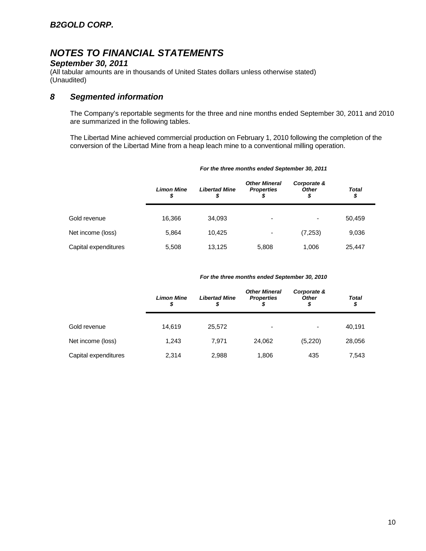### *September 30, 2011*

(All tabular amounts are in thousands of United States dollars unless otherwise stated) (Unaudited)

### *8 Segmented information*

The Company's reportable segments for the three and nine months ended September 30, 2011 and 2010 are summarized in the following tables.

The Libertad Mine achieved commercial production on February 1, 2010 following the completion of the conversion of the Libertad Mine from a heap leach mine to a conventional milling operation.

|                      | <b>Limon Mine</b><br>\$ | <b>Libertad Mine</b><br>\$ | <b>Other Mineral</b><br><b>Properties</b><br>S | Corporate &<br><b>Other</b><br>\$ | Total<br>\$ |
|----------------------|-------------------------|----------------------------|------------------------------------------------|-----------------------------------|-------------|
| Gold revenue         | 16.366                  | 34,093                     | $\overline{\phantom{0}}$                       | ۰                                 | 50,459      |
| Net income (loss)    | 5,864                   | 10,425                     | $\overline{\phantom{0}}$                       | (7,253)                           | 9,036       |
| Capital expenditures | 5,508                   | 13,125                     | 5,808                                          | 1,006                             | 25,447      |

#### *For the three months ended September 30, 2011*

#### *For the three months ended September 30, 2010*

|                      | <b>Limon Mine</b><br>S | <b>Libertad Mine</b><br>S | <b>Other Mineral</b><br><b>Properties</b> | Corporate &<br><b>Other</b><br>\$ | <b>Total</b><br>\$ |
|----------------------|------------------------|---------------------------|-------------------------------------------|-----------------------------------|--------------------|
| Gold revenue         | 14.619                 | 25,572                    | -                                         | ٠                                 | 40,191             |
| Net income (loss)    | 1.243                  | 7,971                     | 24.062                                    | (5,220)                           | 28,056             |
| Capital expenditures | 2,314                  | 2,988                     | 1,806                                     | 435                               | 7,543              |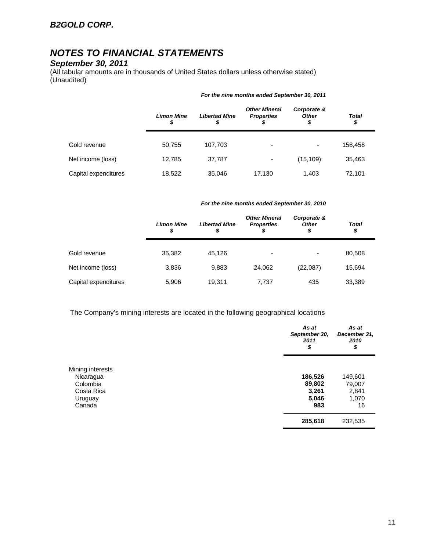### *September 30, 2011*

(All tabular amounts are in thousands of United States dollars unless otherwise stated) (Unaudited)

|                      | <b>Limon Mine</b><br>\$ | <b>Libertad Mine</b><br>\$ | <b>Other Mineral</b><br><b>Properties</b> | Corporate &<br><b>Other</b><br>\$ | <b>Total</b><br>\$ |
|----------------------|-------------------------|----------------------------|-------------------------------------------|-----------------------------------|--------------------|
| Gold revenue         | 50,755                  | 107,703                    | $\overline{\phantom{0}}$                  | ۰                                 | 158,458            |
| Net income (loss)    | 12,785                  | 37,787                     | $\overline{\phantom{a}}$                  | (15, 109)                         | 35,463             |
| Capital expenditures | 18,522                  | 35,046                     | 17,130                                    | 1,403                             | 72,101             |

#### *For the nine months ended September 30, 2011*

#### *For the nine months ended September 30, 2010*

|                      | <b>Limon Mine</b><br>\$ | <b>Libertad Mine</b><br>S | <b>Other Mineral</b><br><b>Properties</b> | Corporate &<br><b>Other</b><br>\$ | Total<br>\$ |
|----------------------|-------------------------|---------------------------|-------------------------------------------|-----------------------------------|-------------|
| Gold revenue         | 35.382                  | 45.126                    | -                                         | ٠                                 | 80,508      |
| Net income (loss)    | 3,836                   | 9,883                     | 24.062                                    | (22,087)                          | 15,694      |
| Capital expenditures | 5,906                   | 19,311                    | 7,737                                     | 435                               | 33,389      |

The Company's mining interests are located in the following geographical locations

|                  | As at<br>September 30,<br>2011<br>\$ | As at<br>December 31,<br>2010<br>\$ |
|------------------|--------------------------------------|-------------------------------------|
| Mining interests |                                      |                                     |
| Nicaragua        | 186,526                              | 149,601                             |
| Colombia         | 89,802                               | 79,007                              |
| Costa Rica       | 3,261                                | 2,841                               |
| Uruguay          | 5,046                                | 1,070                               |
| Canada           | 983                                  | 16                                  |
|                  | 285,618                              | 232,535                             |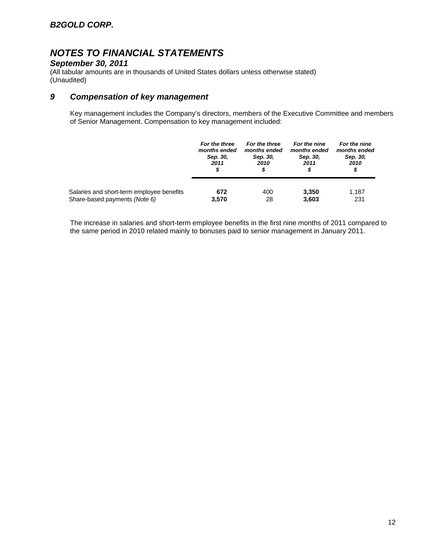## *September 30, 2011*

(All tabular amounts are in thousands of United States dollars unless otherwise stated) (Unaudited)

### *9 Compensation of key management*

Key management includes the Company's directors, members of the Executive Committee and members of Senior Management. Compensation to key management included:

|                                           | For the three | For the three | For the nine | For the nine |  |
|-------------------------------------------|---------------|---------------|--------------|--------------|--|
|                                           | months ended  | months ended  | months ended | months ended |  |
|                                           | Sep. 30,      | Sep. 30,      | Sep. 30,     | Sep. 30,     |  |
|                                           | 2011          | 2010          | 2011         | 2010         |  |
|                                           | \$            | S             | \$           | \$           |  |
| Salaries and short-term employee benefits | 672           | 400           | 3,350        | 1.187        |  |
| Share-based payments (Note 6)             | 3,570         | 28            | 3,603        | 231          |  |

The increase in salaries and short-term employee benefits in the first nine months of 2011 compared to the same period in 2010 related mainly to bonuses paid to senior management in January 2011.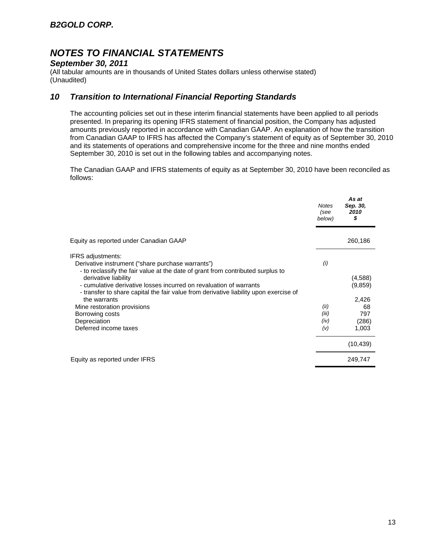### *September 30, 2011*

(All tabular amounts are in thousands of United States dollars unless otherwise stated) (Unaudited)

### *10 Transition to International Financial Reporting Standards*

The accounting policies set out in these interim financial statements have been applied to all periods presented. In preparing its opening IFRS statement of financial position, the Company has adjusted amounts previously reported in accordance with Canadian GAAP. An explanation of how the transition from Canadian GAAP to IFRS has affected the Company's statement of equity as of September 30, 2010 and its statements of operations and comprehensive income for the three and nine months ended September 30, 2010 is set out in the following tables and accompanying notes.

The Canadian GAAP and IFRS statements of equity as at September 30, 2010 have been reconciled as follows:

|                                                                                                                                                                                                                                                                                                                                                                                                                                                             | <b>Notes</b><br>(see<br>below)      | As at<br>Sep. 30,<br>2010<br>\$                            |
|-------------------------------------------------------------------------------------------------------------------------------------------------------------------------------------------------------------------------------------------------------------------------------------------------------------------------------------------------------------------------------------------------------------------------------------------------------------|-------------------------------------|------------------------------------------------------------|
| Equity as reported under Canadian GAAP                                                                                                                                                                                                                                                                                                                                                                                                                      |                                     | 260,186                                                    |
| IFRS adjustments:<br>Derivative instrument ("share purchase warrants")<br>- to reclassify the fair value at the date of grant from contributed surplus to<br>derivative liability<br>- cumulative derivative losses incurred on revaluation of warrants<br>- transfer to share capital the fair value from derivative liability upon exercise of<br>the warrants<br>Mine restoration provisions<br>Borrowing costs<br>Depreciation<br>Deferred income taxes | (i)<br>(ii)<br>(iii)<br>(iv)<br>(V) | (4,588)<br>(9,859)<br>2,426<br>68<br>797<br>(286)<br>1,003 |
|                                                                                                                                                                                                                                                                                                                                                                                                                                                             |                                     | (10, 439)                                                  |
| Equity as reported under IFRS                                                                                                                                                                                                                                                                                                                                                                                                                               |                                     | 249,747                                                    |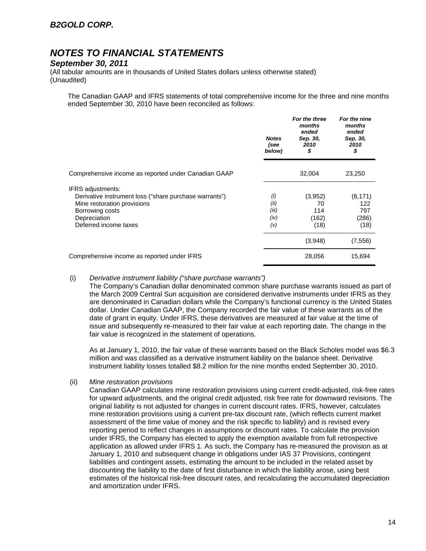#### *September 30, 2011*

(All tabular amounts are in thousands of United States dollars unless otherwise stated) (Unaudited)

The Canadian GAAP and IFRS statements of total comprehensive income for the three and nine months ended September 30, 2010 have been reconciled as follows:

|                                                                                                                                                                               | <b>Notes</b><br>(see<br>below)      | For the three<br>months<br>ended<br>Sep. 30,<br>2010<br>\$ | For the nine<br>months<br>ended<br>Sep. 30,<br>2010<br>\$ |
|-------------------------------------------------------------------------------------------------------------------------------------------------------------------------------|-------------------------------------|------------------------------------------------------------|-----------------------------------------------------------|
| Comprehensive income as reported under Canadian GAAP                                                                                                                          |                                     | 32,004                                                     | 23,250                                                    |
| <b>IFRS</b> adjustments:<br>Derivative instrument loss ("share purchase warrants")<br>Mine restoration provisions<br>Borrowing costs<br>Depreciation<br>Deferred income taxes | (i)<br>(ii)<br>(iii)<br>(iv)<br>(V) | (3,952)<br>70<br>114<br>(162)<br>(18)                      | (8, 171)<br>122<br>797<br>(286)<br>(18)                   |
|                                                                                                                                                                               |                                     | (3,948)                                                    | (7, 556)                                                  |
| Comprehensive income as reported under IFRS                                                                                                                                   |                                     | 28,056                                                     | 15,694                                                    |

#### (i) *Derivative instrument liability ("share purchase warrants")*

The Company's Canadian dollar denominated common share purchase warrants issued as part of the March 2009 Central Sun acquisition are considered derivative instruments under IFRS as they are denominated in Canadian dollars while the Company's functional currency is the United States dollar. Under Canadian GAAP, the Company recorded the fair value of these warrants as of the date of grant in equity. Under IFRS, these derivatives are measured at fair value at the time of issue and subsequently re-measured to their fair value at each reporting date. The change in the fair value is recognized in the statement of operations.

As at January 1, 2010, the fair value of these warrants based on the Black Scholes model was \$6.3 million and was classified as a derivative instrument liability on the balance sheet. Derivative instrument liability losses totalled \$8.2 million for the nine months ended September 30, 2010.

#### (ii) *Mine restoration provisions*

Canadian GAAP calculates mine restoration provisions using current credit-adjusted, risk-free rates for upward adjustments, and the original credit adjusted, risk free rate for downward revisions. The original liability is not adjusted for changes in current discount rates. IFRS, however, calculates mine restoration provisions using a current pre-tax discount rate, (which reflects current market assessment of the time value of money and the risk specific to liability) and is revised every reporting period to reflect changes in assumptions or discount rates. To calculate the provision under IFRS, the Company has elected to apply the exemption available from full retrospective application as allowed under IFRS 1. As such, the Company has re-measured the provision as at January 1, 2010 and subsequent change in obligations under IAS 37 Provisions, contingent liabilities and contingent assets, estimating the amount to be included in the related asset by discounting the liability to the date of first disturbance in which the liability arose, using best estimates of the historical risk-free discount rates, and recalculating the accumulated depreciation and amortization under IFRS.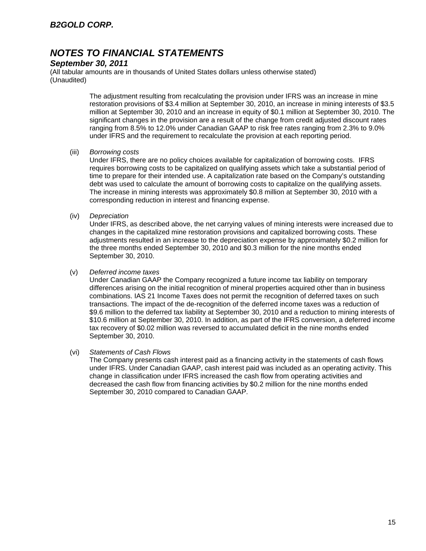### *September 30, 2011*

(All tabular amounts are in thousands of United States dollars unless otherwise stated) (Unaudited)

> The adjustment resulting from recalculating the provision under IFRS was an increase in mine restoration provisions of \$3.4 million at September 30, 2010, an increase in mining interests of \$3.5 million at September 30, 2010 and an increase in equity of \$0.1 million at September 30, 2010. The significant changes in the provision are a result of the change from credit adjusted discount rates ranging from 8.5% to 12.0% under Canadian GAAP to risk free rates ranging from 2.3% to 9.0% under IFRS and the requirement to recalculate the provision at each reporting period.

#### (iii) *Borrowing costs*

Under IFRS, there are no policy choices available for capitalization of borrowing costs. IFRS requires borrowing costs to be capitalized on qualifying assets which take a substantial period of time to prepare for their intended use. A capitalization rate based on the Company's outstanding debt was used to calculate the amount of borrowing costs to capitalize on the qualifying assets. The increase in mining interests was approximately \$0.8 million at September 30, 2010 with a corresponding reduction in interest and financing expense.

(iv) *Depreciation* 

Under IFRS, as described above, the net carrying values of mining interests were increased due to changes in the capitalized mine restoration provisions and capitalized borrowing costs. These adjustments resulted in an increase to the depreciation expense by approximately \$0.2 million for the three months ended September 30, 2010 and \$0.3 million for the nine months ended September 30, 2010.

#### (v) *Deferred income taxes*

Under Canadian GAAP the Company recognized a future income tax liability on temporary differences arising on the initial recognition of mineral properties acquired other than in business combinations. IAS 21 Income Taxes does not permit the recognition of deferred taxes on such transactions. The impact of the de-recognition of the deferred income taxes was a reduction of \$9.6 million to the deferred tax liability at September 30, 2010 and a reduction to mining interests of \$10.6 million at September 30, 2010. In addition, as part of the IFRS conversion, a deferred income tax recovery of \$0.02 million was reversed to accumulated deficit in the nine months ended September 30, 2010.

#### (vi) *Statements of Cash Flows*

The Company presents cash interest paid as a financing activity in the statements of cash flows under IFRS. Under Canadian GAAP, cash interest paid was included as an operating activity. This change in classification under IFRS increased the cash flow from operating activities and decreased the cash flow from financing activities by \$0.2 million for the nine months ended September 30, 2010 compared to Canadian GAAP.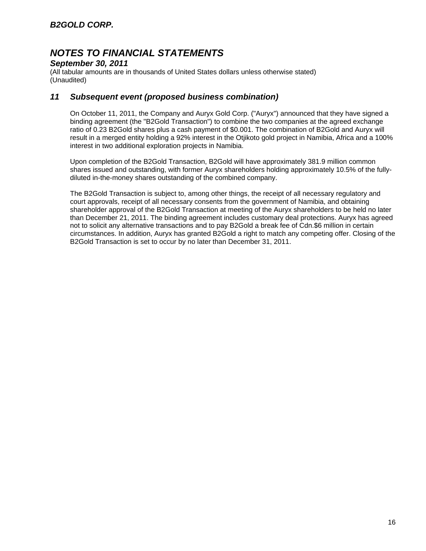### *September 30, 2011*

(All tabular amounts are in thousands of United States dollars unless otherwise stated) (Unaudited)

### *11 Subsequent event (proposed business combination)*

On October 11, 2011, the Company and Auryx Gold Corp. ("Auryx") announced that they have signed a binding agreement (the "B2Gold Transaction") to combine the two companies at the agreed exchange ratio of 0.23 B2Gold shares plus a cash payment of \$0.001. The combination of B2Gold and Auryx will result in a merged entity holding a 92% interest in the Otjikoto gold project in Namibia, Africa and a 100% interest in two additional exploration projects in Namibia.

Upon completion of the B2Gold Transaction, B2Gold will have approximately 381.9 million common shares issued and outstanding, with former Auryx shareholders holding approximately 10.5% of the fullydiluted in-the-money shares outstanding of the combined company.

The B2Gold Transaction is subject to, among other things, the receipt of all necessary regulatory and court approvals, receipt of all necessary consents from the government of Namibia, and obtaining shareholder approval of the B2Gold Transaction at meeting of the Auryx shareholders to be held no later than December 21, 2011. The binding agreement includes customary deal protections. Auryx has agreed not to solicit any alternative transactions and to pay B2Gold a break fee of Cdn.\$6 million in certain circumstances. In addition, Auryx has granted B2Gold a right to match any competing offer. Closing of the B2Gold Transaction is set to occur by no later than December 31, 2011.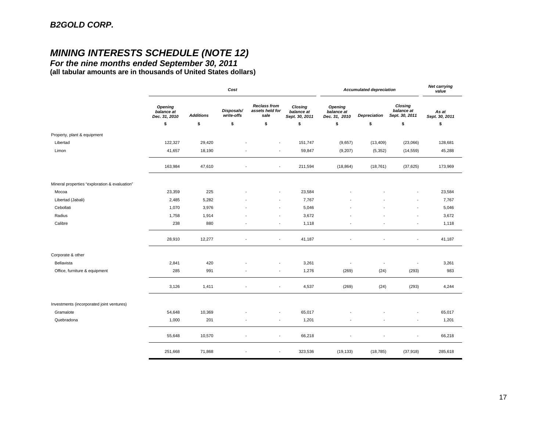# *MINING INTERESTS SCHEDULE (NOTE 12)*

*For the nine months ended September 30, 2011*  **(all tabular amounts are in thousands of United States dollars)**

|                                               | Cost                                          |                  |                          |                                                | <b>Accumulated depreciation</b>         |                                        |                     | <b>Net carrying</b><br>value            |                         |
|-----------------------------------------------|-----------------------------------------------|------------------|--------------------------|------------------------------------------------|-----------------------------------------|----------------------------------------|---------------------|-----------------------------------------|-------------------------|
|                                               | <b>Opening</b><br>balance at<br>Dec. 31, 2010 | <b>Additions</b> | Disposals/<br>write-offs | <b>Reclass from</b><br>assets held for<br>sale | Closing<br>balance at<br>Sept. 30, 2011 | Opening<br>balance at<br>Dec. 31, 2010 | <b>Depreciation</b> | Closing<br>balance at<br>Sept. 30, 2011 | As at<br>Sept. 30, 2011 |
|                                               | \$                                            | \$               | \$                       | \$                                             | \$                                      | \$                                     | \$                  | \$                                      | \$                      |
| Property, plant & equipment                   |                                               |                  |                          |                                                |                                         |                                        |                     |                                         |                         |
| Libertad                                      | 122,327                                       | 29,420           |                          |                                                | 151,747                                 | (9,657)                                | (13, 409)           | (23,066)                                | 128,681                 |
| Limon                                         | 41,657                                        | 18,190           |                          | ÷,                                             | 59,847                                  | (9,207)                                | (5, 352)            | (14, 559)                               | 45,288                  |
|                                               | 163,984                                       | 47,610           |                          | $\blacksquare$                                 | 211,594                                 | (18, 864)                              | (18, 761)           | (37, 625)                               | 173,969                 |
| Mineral properties "exploration & evaluation" |                                               |                  |                          |                                                |                                         |                                        |                     |                                         |                         |
| Mocoa                                         | 23,359                                        | 225              |                          | ÷,                                             | 23,584                                  |                                        |                     |                                         | 23,584                  |
| Libertad (Jabali)                             | 2,485                                         | 5,282            |                          | $\overline{\phantom{a}}$                       | 7,767                                   |                                        |                     | $\overline{\phantom{a}}$                | 7,767                   |
| Cebollati                                     | 1,070                                         | 3,976            |                          | ÷,                                             | 5,046                                   |                                        |                     | $\overline{\phantom{a}}$                | 5,046                   |
| Radius                                        | 1,758                                         | 1,914            |                          | $\overline{\phantom{a}}$                       | 3,672                                   |                                        |                     | $\overline{\phantom{a}}$                | 3,672                   |
| Calibre                                       | 238                                           | 880              |                          | $\blacksquare$                                 | 1,118                                   |                                        | $\overline{a}$      | $\overline{\phantom{a}}$                | 1,118                   |
|                                               | 28,910                                        | 12,277           |                          | ÷,                                             | 41,187                                  |                                        |                     |                                         | 41,187                  |
| Corporate & other                             |                                               |                  |                          |                                                |                                         |                                        |                     |                                         |                         |
| Bellavista                                    | 2,841                                         | 420              |                          | ÷,                                             | 3,261                                   |                                        | ٠                   | $\overline{\phantom{a}}$                | 3,261                   |
| Office, furniture & equipment                 | 285                                           | 991              |                          | $\blacksquare$                                 | 1,276                                   | (269)                                  | (24)                | (293)                                   | 983                     |
|                                               | 3,126                                         | 1,411            | ٠                        | $\blacksquare$                                 | 4,537                                   | (269)                                  | (24)                | (293)                                   | 4,244                   |
| Investments (incorporated joint ventures)     |                                               |                  |                          |                                                |                                         |                                        |                     |                                         |                         |
| Gramalote                                     | 54,648                                        | 10,369           |                          | $\overline{\phantom{a}}$                       | 65,017                                  |                                        |                     |                                         | 65,017                  |
| Quebradona                                    | 1,000                                         | 201              |                          | ÷,                                             | 1,201                                   |                                        |                     | $\overline{\phantom{a}}$                | 1,201                   |
|                                               | 55,648                                        | 10,570           |                          | $\overline{\phantom{a}}$                       | 66,218                                  |                                        |                     | $\overline{\phantom{a}}$                | 66,218                  |
|                                               | 251,668                                       | 71,868           | $\overline{\phantom{a}}$ | ÷,                                             | 323,536                                 | (19, 133)                              | (18, 785)           | (37, 918)                               | 285,618                 |